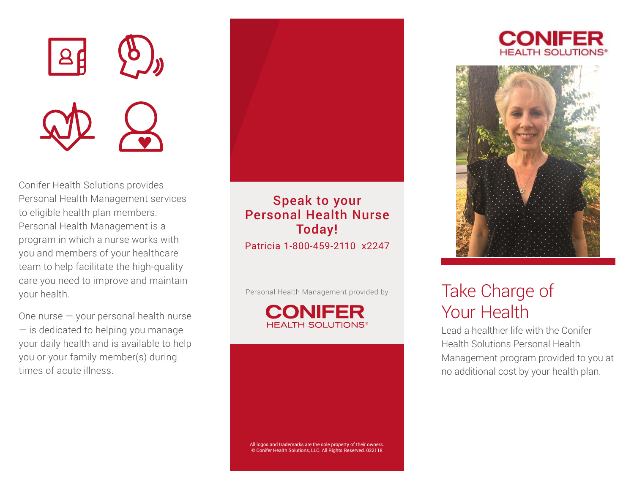

Conifer Health Solutions provides Personal Health Management services to eligible health plan members. Personal Health Management is a program in which a nurse works with you and members of your healthcare team to help facilitate the high-quality care you need to improve and maintain your health.

One nurse — your personal health nurse — is dedicated to helping you manage your daily health and is available to help you or your family member(s) during times of acute illness.



Speak to your Personal Health Nurse Today! Patricia 1-800-459-2110 x2247

Personal Health Management provided by







# Take Charge of Your Health

Lead a healthier life with the Conifer Health Solutions Personal Health Management program provided to you at no additional cost by your health plan.

All logos and trademarks are the sole property of their owners. © Conifer Health Solutions, LLC. All Rights Reserved. 022118